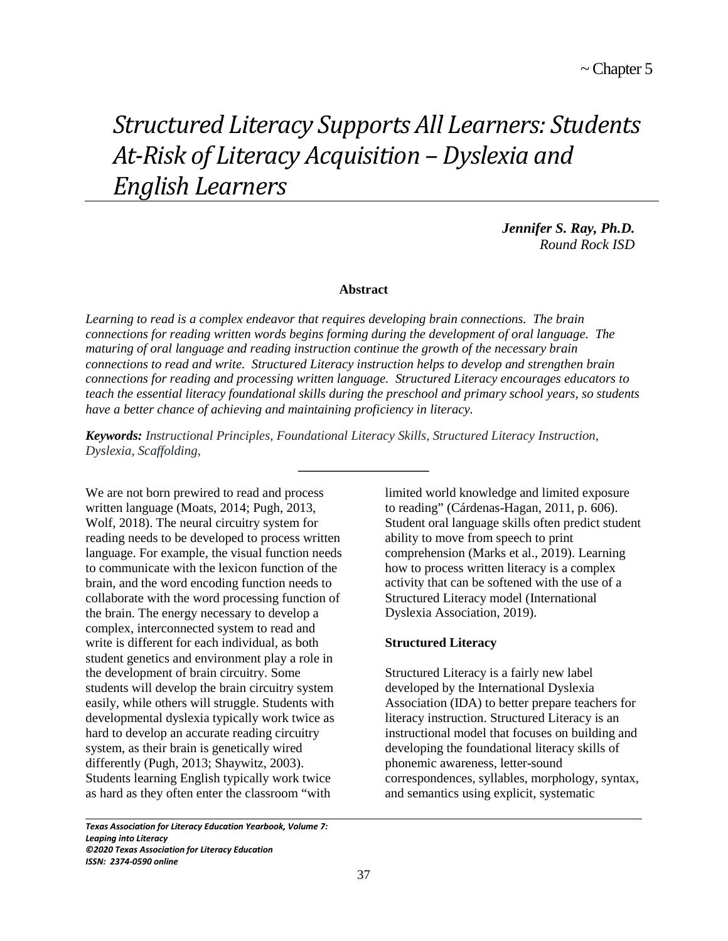# *Structured Literacy Supports All Learners: Students At-Risk of Literacy Acquisition – Dyslexia and English Learners*

*Jennifer S. Ray, Ph.D. Round Rock ISD*

#### **Abstract**

*Learning to read is a complex endeavor that requires developing brain connections. The brain connections for reading written words begins forming during the development of oral language. The maturing of oral language and reading instruction continue the growth of the necessary brain connections to read and write. Structured Literacy instruction helps to develop and strengthen brain connections for reading and processing written language. Structured Literacy encourages educators to teach the essential literacy foundational skills during the preschool and primary school years, so students have a better chance of achieving and maintaining proficiency in literacy.*

**\_\_\_\_\_\_\_\_\_\_\_\_\_\_\_\_\_\_\_\_**

*Keywords: Instructional Principles, Foundational Literacy Skills, Structured Literacy Instruction, Dyslexia, Scaffolding,* 

We are not born prewired to read and process written language (Moats, 2014; Pugh, 2013, Wolf, 2018). The neural circuitry system for reading needs to be developed to process written language. For example, the visual function needs to communicate with the lexicon function of the brain, and the word encoding function needs to collaborate with the word processing function of the brain. The energy necessary to develop a complex, interconnected system to read and write is different for each individual, as both student genetics and environment play a role in the development of brain circuitry. Some students will develop the brain circuitry system easily, while others will struggle. Students with developmental dyslexia typically work twice as hard to develop an accurate reading circuitry system, as their brain is genetically wired differently (Pugh, 2013; Shaywitz, 2003). Students learning English typically work twice as hard as they often enter the classroom "with

*Texas Association for Literacy Education Yearbook, Volume 7: Leaping into Literacy ©2020 Texas Association for Literacy Education ISSN: 2374-0590 online*

 $\overline{\phantom{0}}$ 

limited world knowledge and limited exposure to reading" (Cárdenas-Hagan, 2011, p. 606). Student oral language skills often predict student ability to move from speech to print comprehension (Marks et al., 2019). Learning how to process written literacy is a complex activity that can be softened with the use of a Structured Literacy model (International Dyslexia Association, 2019).

## **Structured Literacy**

Structured Literacy is a fairly new label developed by the International Dyslexia Association (IDA) to better prepare teachers for literacy instruction. Structured Literacy is an instructional model that focuses on building and developing the foundational literacy skills of phonemic awareness, letter-sound correspondences, syllables, morphology, syntax, and semantics using explicit, systematic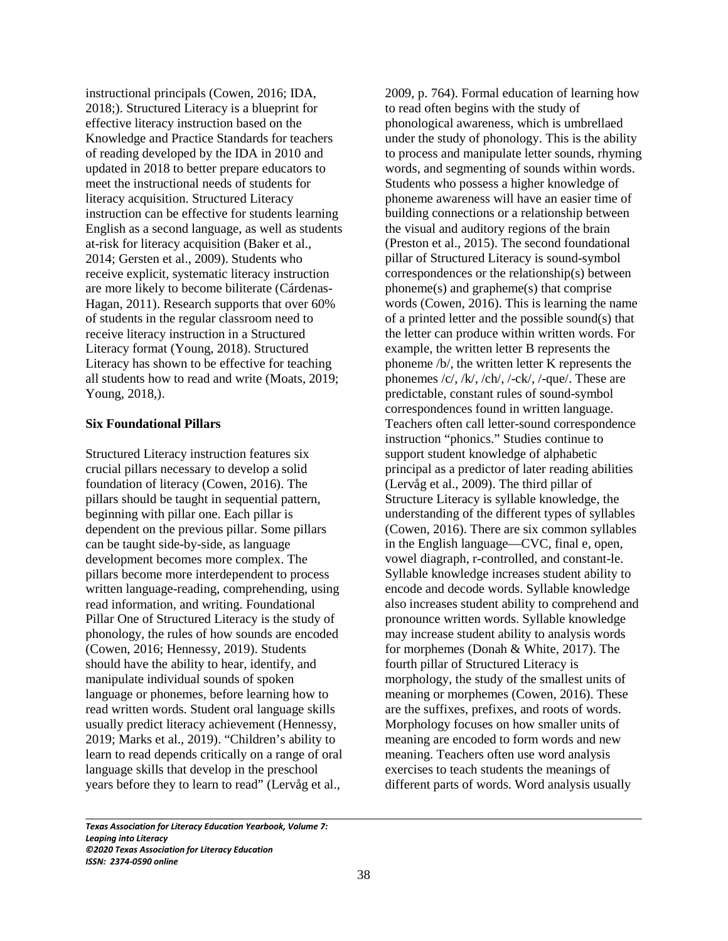instructional principals (Cowen, 2016; IDA, 2018;). Structured Literacy is a blueprint for effective literacy instruction based on the Knowledge and Practice Standards for teachers of reading developed by the IDA in 2010 and updated in 2018 to better prepare educators to meet the instructional needs of students for literacy acquisition. Structured Literacy instruction can be effective for students learning English as a second language, as well as students at-risk for literacy acquisition (Baker et al., 2014; Gersten et al., 2009). Students who receive explicit, systematic literacy instruction are more likely to become biliterate (Cárdenas-Hagan, 2011). Research supports that over 60% of students in the regular classroom need to receive literacy instruction in a Structured Literacy format (Young, 2018). Structured Literacy has shown to be effective for teaching all students how to read and write (Moats, 2019; Young, 2018,).

## **Six Foundational Pillars**

Structured Literacy instruction features six crucial pillars necessary to develop a solid foundation of literacy (Cowen, 2016). The pillars should be taught in sequential pattern, beginning with pillar one. Each pillar is dependent on the previous pillar. Some pillars can be taught side-by-side, as language development becomes more complex. The pillars become more interdependent to process written language-reading, comprehending, using read information, and writing. Foundational Pillar One of Structured Literacy is the study of phonology, the rules of how sounds are encoded (Cowen, 2016; Hennessy, 2019). Students should have the ability to hear, identify, and manipulate individual sounds of spoken language or phonemes, before learning how to read written words. Student oral language skills usually predict literacy achievement (Hennessy, 2019; Marks et al., 2019). "Children's ability to learn to read depends critically on a range of oral language skills that develop in the preschool years before they to learn to read" (Lervåg et al.,

2009, p. 764). Formal education of learning how to read often begins with the study of phonological awareness, which is umbrellaed under the study of phonology. This is the ability to process and manipulate letter sounds, rhyming words, and segmenting of sounds within words. Students who possess a higher knowledge of phoneme awareness will have an easier time of building connections or a relationship between the visual and auditory regions of the brain (Preston et al., 2015). The second foundational pillar of Structured Literacy is sound-symbol correspondences or the relationship(s) between phoneme(s) and grapheme(s) that comprise words (Cowen, 2016). This is learning the name of a printed letter and the possible sound(s) that the letter can produce within written words. For example, the written letter B represents the phoneme /b/, the written letter K represents the phonemes  $\frac{\langle c \rangle}{\langle k \rangle}$ ,  $\frac{\langle ch \rangle}{\langle ch \rangle}$ ,  $\frac{\langle -ck \rangle}{\langle que \rangle}$ . These are predictable, constant rules of sound-symbol correspondences found in written language. Teachers often call letter-sound correspondence instruction "phonics." Studies continue to support student knowledge of alphabetic principal as a predictor of later reading abilities (Lervåg et al., 2009). The third pillar of Structure Literacy is syllable knowledge, the understanding of the different types of syllables (Cowen, 2016). There are six common syllables in the English language—CVC, final e, open, vowel diagraph, r-controlled, and constant-le. Syllable knowledge increases student ability to encode and decode words. Syllable knowledge also increases student ability to comprehend and pronounce written words. Syllable knowledge may increase student ability to analysis words for morphemes (Donah & White, 2017). The fourth pillar of Structured Literacy is morphology, the study of the smallest units of meaning or morphemes (Cowen, 2016). These are the suffixes, prefixes, and roots of words. Morphology focuses on how smaller units of meaning are encoded to form words and new meaning. Teachers often use word analysis exercises to teach students the meanings of different parts of words. Word analysis usually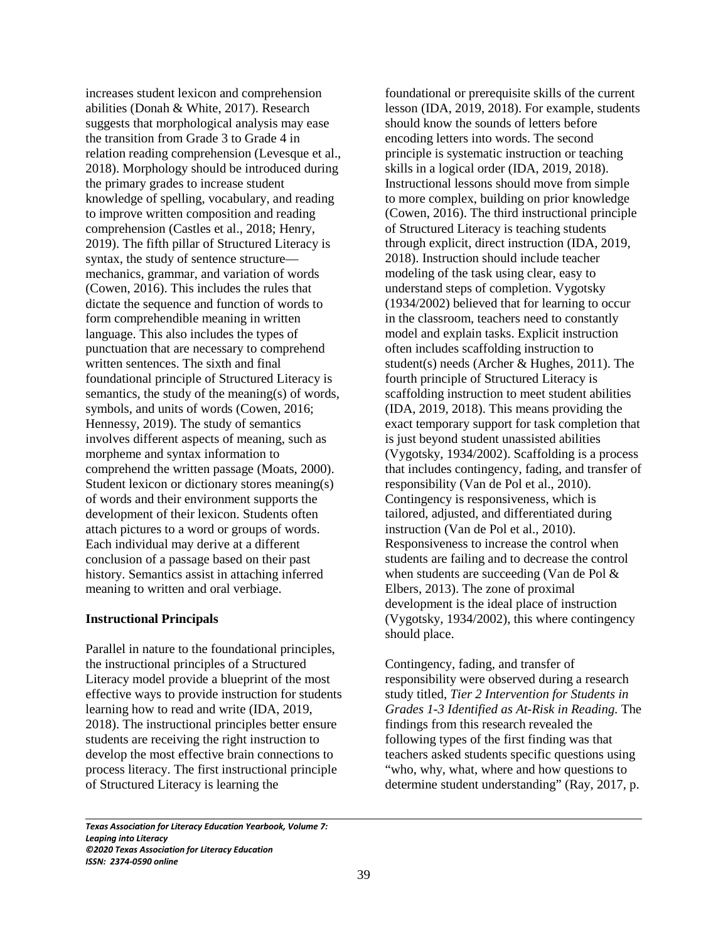increases student lexicon and comprehension abilities (Donah & White, 2017). Research suggests that morphological analysis may ease the transition from Grade 3 to Grade 4 in relation reading comprehension (Levesque et al., 2018). Morphology should be introduced during the primary grades to increase student knowledge of spelling, vocabulary, and reading to improve written composition and reading comprehension (Castles et al., 2018; Henry, 2019). The fifth pillar of Structured Literacy is syntax, the study of sentence structure mechanics, grammar, and variation of words (Cowen, 2016). This includes the rules that dictate the sequence and function of words to form comprehendible meaning in written language. This also includes the types of punctuation that are necessary to comprehend written sentences. The sixth and final foundational principle of Structured Literacy is semantics, the study of the meaning(s) of words, symbols, and units of words (Cowen, 2016; Hennessy, 2019). The study of semantics involves different aspects of meaning, such as morpheme and syntax information to comprehend the written passage (Moats, 2000). Student lexicon or dictionary stores meaning(s) of words and their environment supports the development of their lexicon. Students often attach pictures to a word or groups of words. Each individual may derive at a different conclusion of a passage based on their past history. Semantics assist in attaching inferred meaning to written and oral verbiage.

## **Instructional Principals**

 $\overline{\phantom{0}}$ 

Parallel in nature to the foundational principles, the instructional principles of a Structured Literacy model provide a blueprint of the most effective ways to provide instruction for students learning how to read and write (IDA, 2019, 2018). The instructional principles better ensure students are receiving the right instruction to develop the most effective brain connections to process literacy. The first instructional principle of Structured Literacy is learning the

foundational or prerequisite skills of the current lesson (IDA, 2019, 2018). For example, students should know the sounds of letters before encoding letters into words. The second principle is systematic instruction or teaching skills in a logical order (IDA, 2019, 2018). Instructional lessons should move from simple to more complex, building on prior knowledge (Cowen, 2016). The third instructional principle of Structured Literacy is teaching students through explicit, direct instruction (IDA, 2019, 2018). Instruction should include teacher modeling of the task using clear, easy to understand steps of completion. Vygotsky (1934/2002) believed that for learning to occur in the classroom, teachers need to constantly model and explain tasks. Explicit instruction often includes scaffolding instruction to student(s) needs (Archer & Hughes, 2011). The fourth principle of Structured Literacy is scaffolding instruction to meet student abilities (IDA, 2019, 2018). This means providing the exact temporary support for task completion that is just beyond student unassisted abilities (Vygotsky, 1934/2002). Scaffolding is a process that includes contingency, fading, and transfer of responsibility (Van de Pol et al., 2010). Contingency is responsiveness, which is tailored, adjusted, and differentiated during instruction (Van de Pol et al., 2010). Responsiveness to increase the control when students are failing and to decrease the control when students are succeeding (Van de Pol & Elbers, 2013). The zone of proximal development is the ideal place of instruction (Vygotsky, 1934/2002), this where contingency should place.

Contingency, fading, and transfer of responsibility were observed during a research study titled, *Tier 2 Intervention for Students in Grades 1-3 Identified as At-Risk in Reading.* The findings from this research revealed the following types of the first finding was that teachers asked students specific questions using "who, why, what, where and how questions to determine student understanding" (Ray, 2017, p.

*Texas Association for Literacy Education Yearbook, Volume 7: Leaping into Literacy ©2020 Texas Association for Literacy Education ISSN: 2374-0590 online*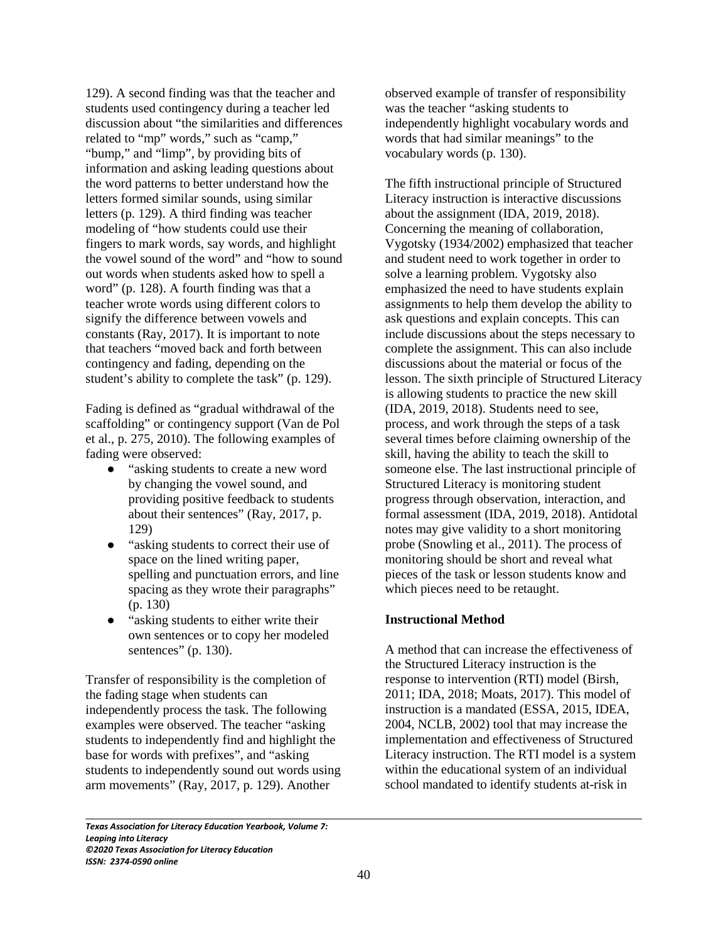129). A second finding was that the teacher and students used contingency during a teacher led discussion about "the similarities and differences related to "mp" words," such as "camp," "bump," and "limp", by providing bits of information and asking leading questions about the word patterns to better understand how the letters formed similar sounds, using similar letters (p. 129). A third finding was teacher modeling of "how students could use their fingers to mark words, say words, and highlight the vowel sound of the word" and "how to sound out words when students asked how to spell a word" (p. 128). A fourth finding was that a teacher wrote words using different colors to signify the difference between vowels and constants (Ray, 2017). It is important to note that teachers "moved back and forth between contingency and fading, depending on the student's ability to complete the task" (p. 129).

Fading is defined as "gradual withdrawal of the scaffolding" or contingency support (Van de Pol et al., p. 275, 2010). The following examples of fading were observed:

- "asking students to create a new word" by changing the vowel sound, and providing positive feedback to students about their sentences" (Ray, 2017, p. 129)
- "asking students to correct their use of space on the lined writing paper, spelling and punctuation errors, and line spacing as they wrote their paragraphs" (p. 130)
- "asking students to either write their own sentences or to copy her modeled sentences" (p. 130).

Transfer of responsibility is the completion of the fading stage when students can independently process the task. The following examples were observed. The teacher "asking students to independently find and highlight the base for words with prefixes", and "asking students to independently sound out words using arm movements" (Ray, 2017, p. 129). Another

observed example of transfer of responsibility was the teacher "asking students to independently highlight vocabulary words and words that had similar meanings" to the vocabulary words (p. 130).

The fifth instructional principle of Structured Literacy instruction is interactive discussions about the assignment (IDA, 2019, 2018). Concerning the meaning of collaboration, Vygotsky (1934/2002) emphasized that teacher and student need to work together in order to solve a learning problem. Vygotsky also emphasized the need to have students explain assignments to help them develop the ability to ask questions and explain concepts. This can include discussions about the steps necessary to complete the assignment. This can also include discussions about the material or focus of the lesson. The sixth principle of Structured Literacy is allowing students to practice the new skill (IDA, 2019, 2018). Students need to see, process, and work through the steps of a task several times before claiming ownership of the skill, having the ability to teach the skill to someone else. The last instructional principle of Structured Literacy is monitoring student progress through observation, interaction, and formal assessment (IDA, 2019, 2018). Antidotal notes may give validity to a short monitoring probe (Snowling et al., 2011). The process of monitoring should be short and reveal what pieces of the task or lesson students know and which pieces need to be retaught.

## **Instructional Method**

A method that can increase the effectiveness of the Structured Literacy instruction is the response to intervention (RTI) model (Birsh, 2011; IDA, 2018; Moats, 2017). This model of instruction is a mandated (ESSA, 2015, IDEA, 2004, NCLB, 2002) tool that may increase the implementation and effectiveness of Structured Literacy instruction. The RTI model is a system within the educational system of an individual school mandated to identify students at-risk in

*Texas Association for Literacy Education Yearbook, Volume 7: Leaping into Literacy ©2020 Texas Association for Literacy Education ISSN: 2374-0590 online*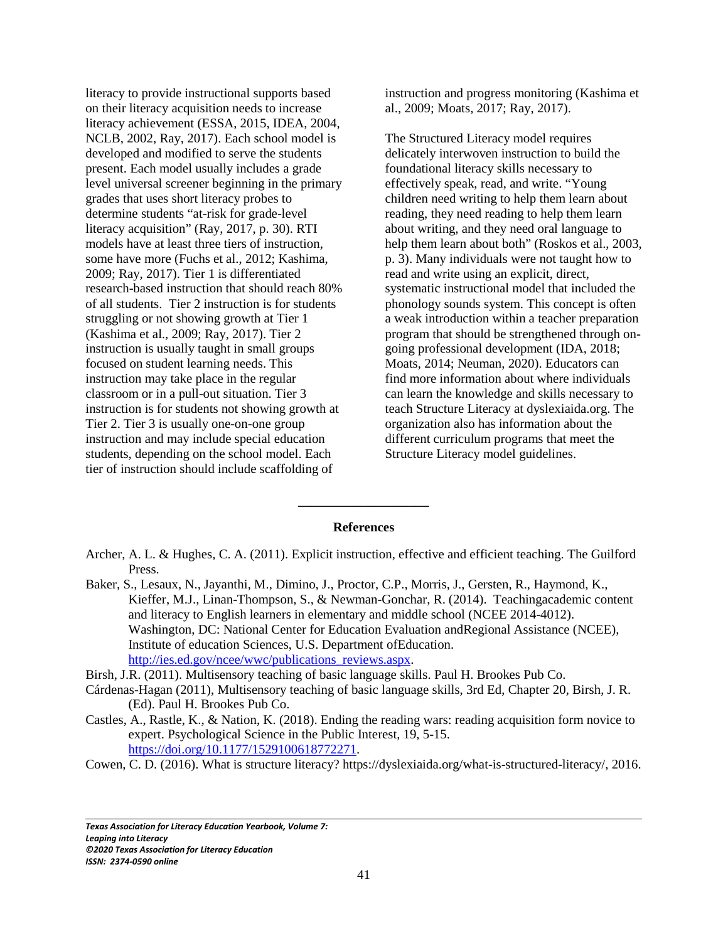literacy to provide instructional supports based on their literacy acquisition needs to increase literacy achievement (ESSA, 2015, IDEA, 2004, NCLB, 2002, Ray, 2017). Each school model is developed and modified to serve the students present. Each model usually includes a grade level universal screener beginning in the primary grades that uses short literacy probes to determine students "at-risk for grade-level literacy acquisition" (Ray, 2017, p. 30). RTI models have at least three tiers of instruction, some have more (Fuchs et al., 2012; Kashima, 2009; Ray, 2017). Tier 1 is differentiated research-based instruction that should reach 80% of all students. Tier 2 instruction is for students struggling or not showing growth at Tier 1 (Kashima et al., 2009; Ray, 2017). Tier 2 instruction is usually taught in small groups focused on student learning needs. This instruction may take place in the regular classroom or in a pull-out situation. Tier 3 instruction is for students not showing growth at Tier 2. Tier 3 is usually one-on-one group instruction and may include special education students, depending on the school model. Each tier of instruction should include scaffolding of

instruction and progress monitoring (Kashima et al., 2009; Moats, 2017; Ray, 2017).

The Structured Literacy model requires delicately interwoven instruction to build the foundational literacy skills necessary to effectively speak, read, and write. "Young children need writing to help them learn about reading, they need reading to help them learn about writing, and they need oral language to help them learn about both" (Roskos et al., 2003, p. 3). Many individuals were not taught how to read and write using an explicit, direct, systematic instructional model that included the phonology sounds system. This concept is often a weak introduction within a teacher preparation program that should be strengthened through ongoing professional development (IDA, 2018; Moats, 2014; Neuman, 2020). Educators can find more information about where individuals can learn the knowledge and skills necessary to teach Structure Literacy at dyslexiaida.org. The organization also has information about the different curriculum programs that meet the Structure Literacy model guidelines.

#### **References**

**\_\_\_\_\_\_\_\_\_\_\_\_\_\_\_\_\_\_\_\_**

- Archer, A. L. & Hughes, C. A. (2011). Explicit instruction, effective and efficient teaching. The Guilford Press.
- Baker, S., Lesaux, N., Jayanthi, M., Dimino, J., Proctor, C.P., Morris, J., Gersten, R., Haymond, K., Kieffer, M.J., Linan-Thompson, S., & Newman-Gonchar, R. (2014). Teachingacademic content and literacy to English learners in elementary and middle school (NCEE 2014-4012). Washington, DC: National Center for Education Evaluation andRegional Assistance (NCEE), Institute of education Sciences, U.S. Department ofEducation. http://ies.ed.gov/ncee/wwc/publications\_reviews.aspx.
- Birsh, J.R. (2011). Multisensory teaching of basic language skills. Paul H. Brookes Pub Co.
- Cárdenas-Hagan (2011), Multisensory teaching of basic language skills, 3rd Ed, Chapter 20, Birsh, J. R. (Ed). Paul H. Brookes Pub Co.
- Castles, A., Rastle, K., & Nation, K. (2018). Ending the reading wars: reading acquisition form novice to expert. Psychological Science in the Public Interest, 19, 5-15. https://doi.org/10.1177/1529100618772271.
- Cowen, C. D. (2016). What is structure literacy? https://dyslexiaida.org/what-is-structured-literacy/, 2016.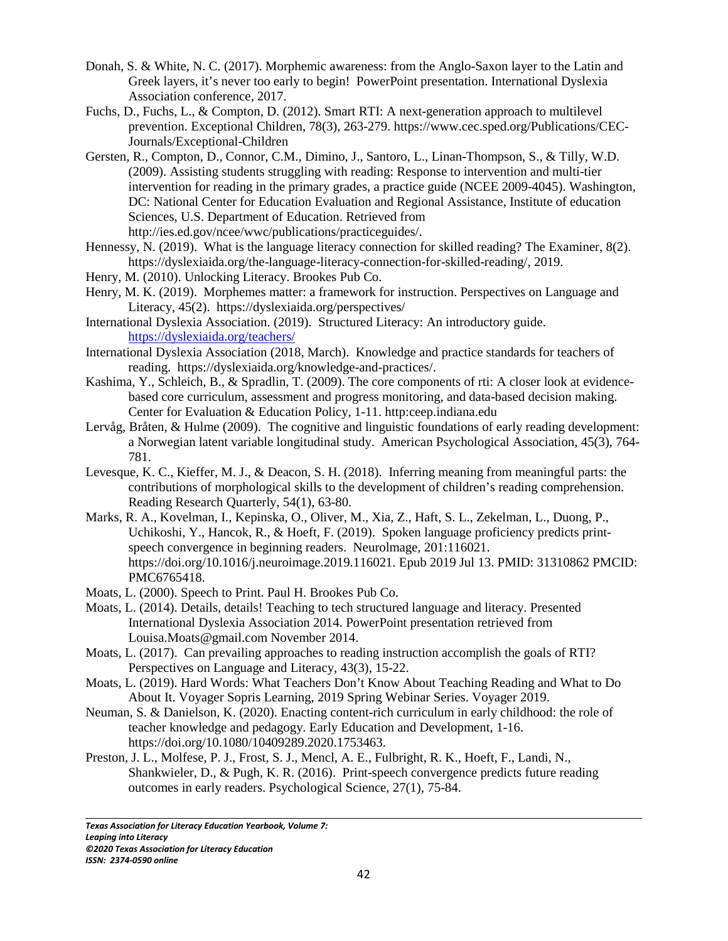- Donah, S. & White, N. C. (2017). Morphemic awareness: from the Anglo-Saxon layer to the Latin and Greek layers, it's never too early to begin! PowerPoint presentation. International Dyslexia Association conference, 2017.
- Fuchs, D., Fuchs, L., & Compton, D. (2012). Smart RTI: A next-generation approach to multilevel prevention. Exceptional Children, 78(3), 263-279. https://www.cec.sped.org/Publications/CEC-Journals/Exceptional-Children
- Gersten, R., Compton, D., Connor, C.M., Dimino, J., Santoro, L., Linan-Thompson, S., & Tilly, W.D. (2009). Assisting students struggling with reading: Response to intervention and multi-tier intervention for reading in the primary grades, a practice guide (NCEE 2009-4045). Washington, DC: National Center for Education Evaluation and Regional Assistance, Institute of education Sciences, U.S. Department of Education. Retrieved from http://ies.ed.gov/ncee/wwc/publications/practiceguides/.
- Hennessy, N. (2019). What is the language literacy connection for skilled reading? The Examiner, 8(2). https://dyslexiaida.org/the-language-literacy-connection-for-skilled-reading/, 2019.
- Henry, M. (2010). Unlocking Literacy. Brookes Pub Co.
- Henry, M. K. (2019). Morphemes matter: a framework for instruction. Perspectives on Language and Literacy, 45(2). https://dyslexiaida.org/perspectives/
- International Dyslexia Association. (2019). Structured Literacy: An introductory guide. https://dyslexiaida.org/teachers/
- International Dyslexia Association (2018, March). Knowledge and practice standards for teachers of reading. https://dyslexiaida.org/knowledge-and-practices/.
- Kashima, Y., Schleich, B., & Spradlin, T. (2009). The core components of rti: A closer look at evidencebased core curriculum, assessment and progress monitoring, and data-based decision making. Center for Evaluation & Education Policy, 1-11. http:ceep.indiana.edu
- Lervåg, Bråten, & Hulme (2009). The cognitive and linguistic foundations of early reading development: a Norwegian latent variable longitudinal study. American Psychological Association, 45(3), 764- 781.
- Levesque, K. C., Kieffer, M. J., & Deacon, S. H. (2018). Inferring meaning from meaningful parts: the contributions of morphological skills to the development of children's reading comprehension. Reading Research Quarterly, 54(1), 63-80.
- Marks, R. A., Kovelman, I., Kepinska, O., Oliver, M., Xia, Z., Haft, S. L., Zekelman, L., Duong, P., Uchikoshi, Y., Hancok, R., & Hoeft, F. (2019). Spoken language proficiency predicts printspeech convergence in beginning readers. Neurolmage, 201:116021. https://doi.org/10.1016/j.neuroimage.2019.116021. Epub 2019 Jul 13. PMID: 31310862 PMCID: PMC6765418.
- Moats, L. (2000). Speech to Print. Paul H. Brookes Pub Co.
- Moats, L. (2014). Details, details! Teaching to tech structured language and literacy. Presented International Dyslexia Association 2014. PowerPoint presentation retrieved from Louisa.Moats@gmail.com November 2014.
- Moats, L. (2017). Can prevailing approaches to reading instruction accomplish the goals of RTI? Perspectives on Language and Literacy, 43(3), 15-22.
- Moats, L. (2019). Hard Words: What Teachers Don't Know About Teaching Reading and What to Do About It. Voyager Sopris Learning, 2019 Spring Webinar Series. Voyager 2019.
- Neuman, S. & Danielson, K. (2020). Enacting content-rich curriculum in early childhood: the role of teacher knowledge and pedagogy. Early Education and Development, 1-16. https://doi.org/10.1080/10409289.2020.1753463.
- Preston, J. L., Molfese, P. J., Frost, S. J., Mencl, A. E., Fulbright, R. K., Hoeft, F., Landi, N., Shankwieler, D., & Pugh, K. R. (2016). Print-speech convergence predicts future reading outcomes in early readers. Psychological Science, 27(1), 75-84.

*Texas Association for Literacy Education Yearbook, Volume 7: Leaping into Literacy ©2020 Texas Association for Literacy Education ISSN: 2374-0590 online*